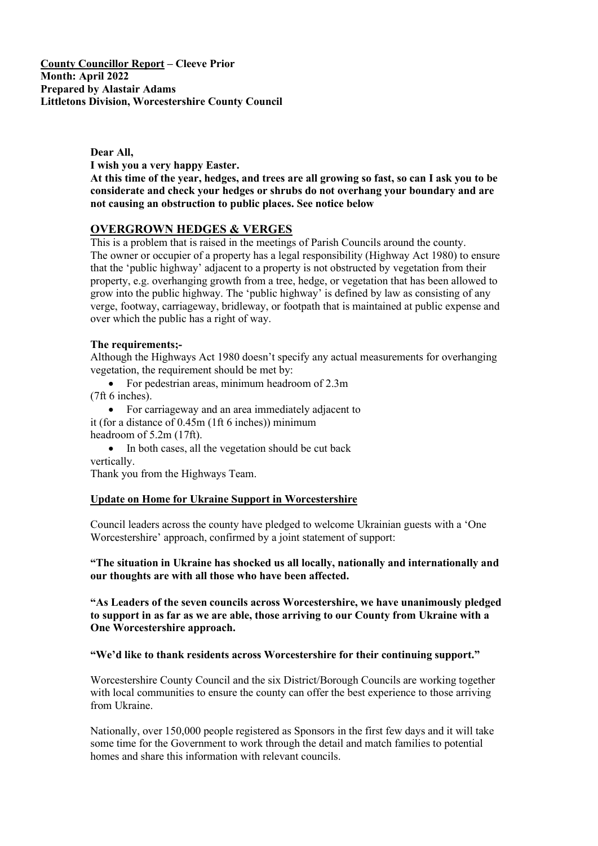**Dear All, I wish you a very happy Easter. At this time of the year, hedges, and trees are all growing so fast, so can I ask you to be considerate and check your hedges or shrubs do not overhang your boundary and are not causing an obstruction to public places. See notice below**

# **OVERGROWN HEDGES & VERGES**

This is a problem that is raised in the meetings of Parish Councils around the county. The owner or occupier of a property has a legal responsibility (Highway Act 1980) to ensure that the 'public highway' adjacent to a property is not obstructed by vegetation from their property, e.g. overhanging growth from a tree, hedge, or vegetation that has been allowed to grow into the public highway. The 'public highway' is defined by law as consisting of any verge, footway, carriageway, bridleway, or footpath that is maintained at public expense and over which the public has a right of way.

#### **The requirements;-**

Although the Highways Act 1980 doesn't specify any actual measurements for overhanging vegetation, the requirement should be met by:

- For pedestrian areas, minimum headroom of 2.3m (7ft 6 inches).
- For carriageway and an area immediately adjacent to it (for a distance of 0.45m (1ft 6 inches)) minimum headroom of 5.2m (17ft).
- In both cases, all the vegetation should be cut back vertically.

Thank you from the Highways Team.

#### **Update on Home for Ukraine Support in Worcestershire**

Council leaders across the county have pledged to welcome Ukrainian guests with a 'One Worcestershire' approach, confirmed by a joint statement of support:

## **"The situation in Ukraine has shocked us all locally, nationally and internationally and our thoughts are with all those who have been affected.**

**"As Leaders of the seven councils across Worcestershire, we have unanimously pledged to support in as far as we are able, those arriving to our County from Ukraine with a One Worcestershire approach.** 

#### **"We'd like to thank residents across Worcestershire for their continuing support."**

Worcestershire County Council and the six District/Borough Councils are working together with local communities to ensure the county can offer the best experience to those arriving from Ukraine.

Nationally, over 150,000 people registered as Sponsors in the first few days and it will take some time for the Government to work through the detail and match families to potential homes and share this information with relevant councils.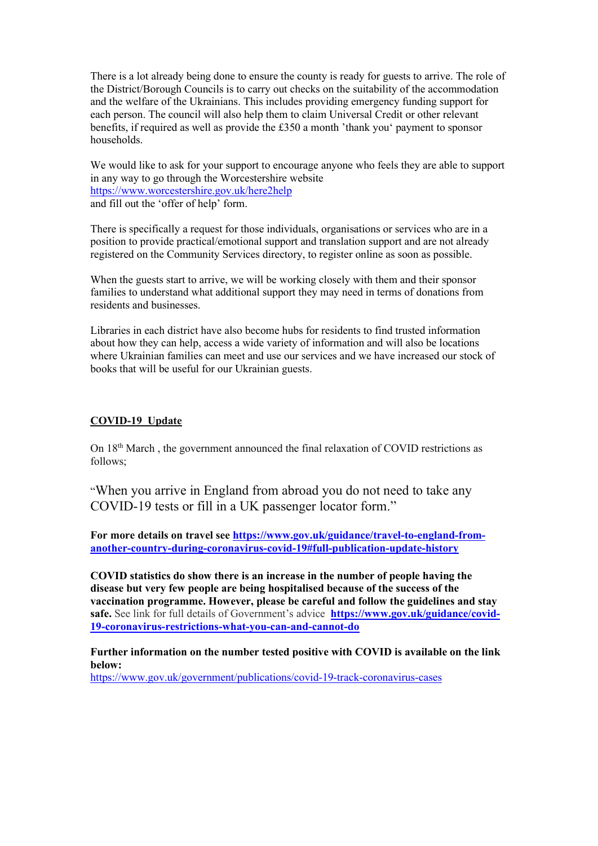There is a lot already being done to ensure the county is ready for guests to arrive. The role of the District/Borough Councils is to carry out checks on the suitability of the accommodation and the welfare of the Ukrainians. This includes providing emergency funding support for each person. The council will also help them to claim Universal Credit or other relevant benefits, if required as well as provide the £350 a month 'thank you' payment to sponsor households.

We would like to ask for your support to encourage anyone who feels they are able to support in any way to go through the Worcestershire website <https://www.worcestershire.gov.uk/here2help> and fill out the 'offer of help' form.

There is specifically a request for those individuals, organisations or services who are in a position to provide practical/emotional support and translation support and are not already registered on the Community Services directory, to register online as soon as possible.

When the guests start to arrive, we will be working closely with them and their sponsor families to understand what additional support they may need in terms of donations from residents and businesses.

Libraries in each district have also become hubs for residents to find trusted information about how they can help, access a wide variety of information and will also be locations where Ukrainian families can meet and use our services and we have increased our stock of books that will be useful for our Ukrainian guests.

## **COVID-19 Update**

On 18<sup>th</sup> March, the government announced the final relaxation of COVID restrictions as follows;

"When you arrive in England from abroad you do not need to take any COVID-19 tests or fill in a UK passenger locator form."

**For more details on travel se[e https://www.gov.uk/guidance/travel-to-england-from](https://www.gov.uk/guidance/travel-to-england-from-another-country-during-coronavirus-covid-19#full-publication-update-history)[another-country-during-coronavirus-covid-19#full-publication-update-history](https://www.gov.uk/guidance/travel-to-england-from-another-country-during-coronavirus-covid-19#full-publication-update-history)**

**COVID statistics do show there is an increase in the number of people having the disease but very few people are being hospitalised because of the success of the vaccination programme. However, please be careful and follow the guidelines and stay safe.** See link for full details of Government's advice **[https://www.gov.uk/guidance/covid-](https://www.gov.uk/guidance/covid-19-coronavirus-restrictions-what-you-can-and-cannot-do)[19-coronavirus-restrictions-what-you-can-and-cannot-do](https://www.gov.uk/guidance/covid-19-coronavirus-restrictions-what-you-can-and-cannot-do)**

**Further information on the number tested positive with COVID is available on the link below:** 

<https://www.gov.uk/government/publications/covid-19-track-coronavirus-cases>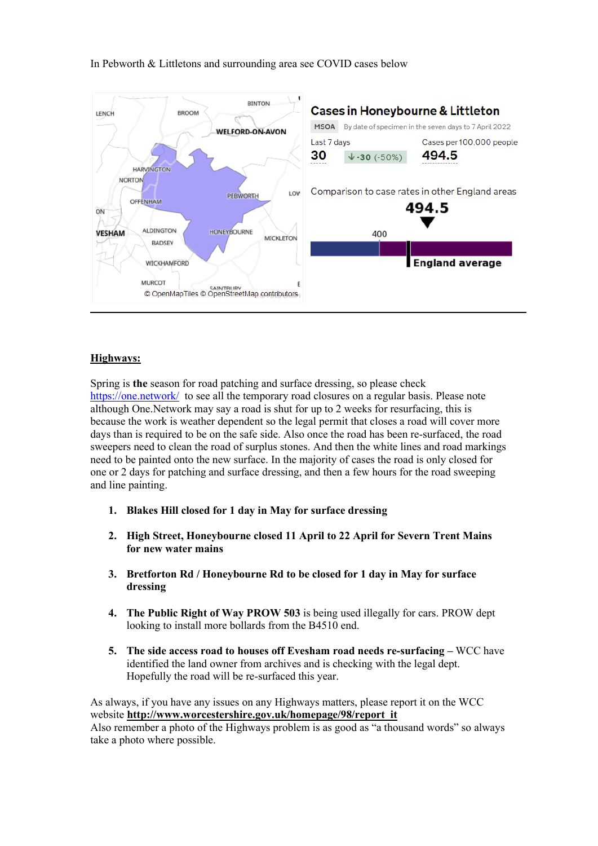### In Pebworth & Littletons and surrounding area see COVID cases below



## **Highways:**

Spring is **the** season for road patching and surface dressing, so please check <https://one.network/>to see all the temporary road closures on a regular basis. Please note although One.Network may say a road is shut for up to 2 weeks for resurfacing, this is because the work is weather dependent so the legal permit that closes a road will cover more days than is required to be on the safe side. Also once the road has been re-surfaced, the road sweepers need to clean the road of surplus stones. And then the white lines and road markings need to be painted onto the new surface. In the majority of cases the road is only closed for one or 2 days for patching and surface dressing, and then a few hours for the road sweeping and line painting.

- **1. Blakes Hill closed for 1 day in May for surface dressing**
- **2. High Street, Honeybourne closed 11 April to 22 April for Severn Trent Mains for new water mains**
- **3. Bretforton Rd / Honeybourne Rd to be closed for 1 day in May for surface dressing**
- **4. The Public Right of Way PROW 503** is being used illegally for cars. PROW dept looking to install more bollards from the B4510 end.
- **5. The side access road to houses off Evesham road needs re-surfacing –** WCC have identified the land owner from archives and is checking with the legal dept. Hopefully the road will be re-surfaced this year.

As always, if you have any issues on any Highways matters, please report it on the WCC website **[http://www.worcestershire.gov.uk/homepage/98/report\\_it](http://www.worcestershire.gov.uk/homepage/98/report_it)**

Also remember a photo of the Highways problem is as good as "a thousand words" so always take a photo where possible.